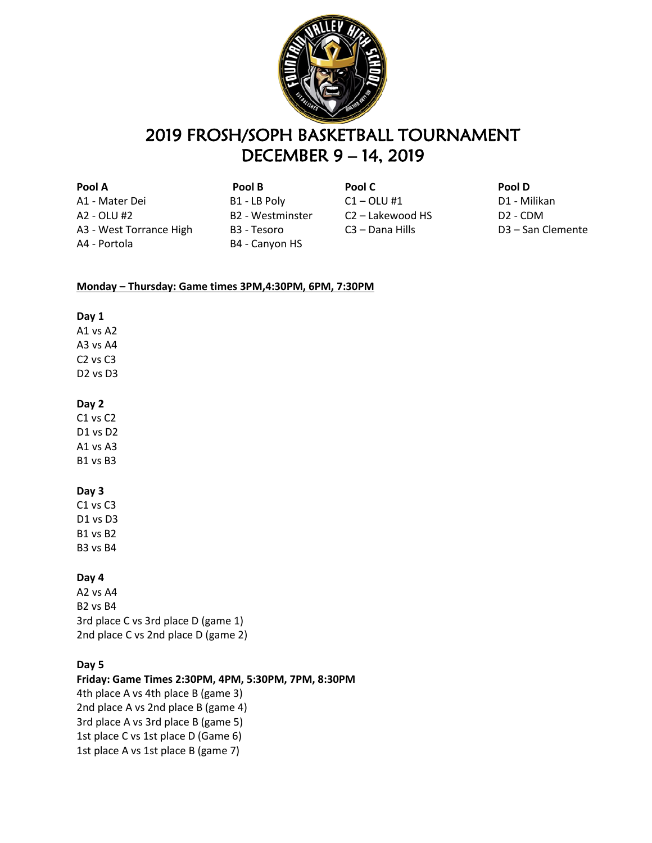

## 2019 FROSH/SOPH BASKETBALL TOURNAMENT DECEMBER 9 – 14, 2019

**Pool A Pool B Pool C Pool D** A1 - Mater Dei B1 - LB Poly C1 – OLU #1 D1 - Milikan A2 - OLU #2 B2 - Westminster C2 – Lakewood HS D2 - CDM A3 - West Torrance High B3 - Tesoro C3 – Dana Hills D3 – San Clemente A4 - Portola B4 - Canyon HS

- 
- 

#### **Monday – Thursday: Game times 3PM,4:30PM, 6PM, 7:30PM**

#### **Day 1**

A1 vs A2 A3 vs A4 C2 vs C3 D2 vs D3

### **Day 2**

C<sub>1</sub> vs C<sub>2</sub> D1 vs D2 A1 vs A3 B1 vs B3

## **Day 3**

C1 vs C3 D1 vs D3 B1 vs B2 B3 vs B4

#### **Day 4**

A2 vs A4 B2 vs B4 3rd place C vs 3rd place D (game 1) 2nd place C vs 2nd place D (game 2)

## **Day 5**

**Friday: Game Times 2:30PM, 4PM, 5:30PM, 7PM, 8:30PM** 4th place A vs 4th place B (game 3) 2nd place A vs 2nd place B (game 4) 3rd place A vs 3rd place B (game 5) 1st place C vs 1st place D (Game 6) 1st place A vs 1st place B (game 7)